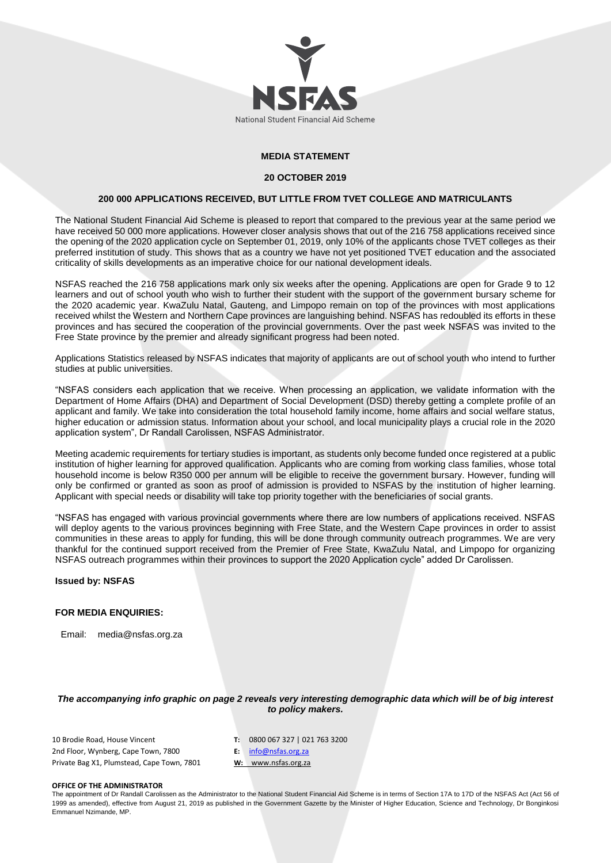

### **MEDIA STATEMENT**

#### **20 OCTOBER 2019**

#### **200 000 APPLICATIONS RECEIVED, BUT LITTLE FROM TVET COLLEGE AND MATRICULANTS**

The National Student Financial Aid Scheme is pleased to report that compared to the previous year at the same period we have received 50 000 more applications. However closer analysis shows that out of the 216 758 applications received since the opening of the 2020 application cycle on September 01, 2019, only 10% of the applicants chose TVET colleges as their preferred institution of study. This shows that as a country we have not yet positioned TVET education and the associated criticality of skills developments as an imperative choice for our national development ideals.

NSFAS reached the 216 758 applications mark only six weeks after the opening. Applications are open for Grade 9 to 12 learners and out of school youth who wish to further their student with the support of the government bursary scheme for the 2020 academic year. KwaZulu Natal, Gauteng, and Limpopo remain on top of the provinces with most applications received whilst the Western and Northern Cape provinces are languishing behind. NSFAS has redoubled its efforts in these provinces and has secured the cooperation of the provincial governments. Over the past week NSFAS was invited to the Free State province by the premier and already significant progress had been noted.

Applications Statistics released by NSFAS indicates that majority of applicants are out of school youth who intend to further studies at public universities.

"NSFAS considers each application that we receive. When processing an application, we validate information with the Department of Home Affairs (DHA) and Department of Social Development (DSD) thereby getting a complete profile of an applicant and family. We take into consideration the total household family income, home affairs and social welfare status, higher education or admission status. Information about your school, and local municipality plays a crucial role in the 2020 application system", Dr Randall Carolissen, NSFAS Administrator.

Meeting academic requirements for tertiary studies is important, as students only become funded once registered at a public institution of higher learning for approved qualification. Applicants who are coming from working class families, whose total household income is below R350 000 per annum will be eligible to receive the government bursary. However, funding will only be confirmed or granted as soon as proof of admission is provided to NSFAS by the institution of higher learning. Applicant with special needs or disability will take top priority together with the beneficiaries of social grants.

"NSFAS has engaged with various provincial governments where there are low numbers of applications received. NSFAS will deploy agents to the various provinces beginning with Free State, and the Western Cape provinces in order to assist communities in these areas to apply for funding, this will be done through community outreach programmes. We are very thankful for the continued support received from the Premier of Free State, KwaZulu Natal, and Limpopo for organizing NSFAS outreach programmes within their provinces to support the 2020 Application cycle" added Dr Carolissen.

#### **Issued by: NSFAS**

#### **FOR MEDIA ENQUIRIES:**

Email: media@nsfas.org.za

*The accompanying info graphic on page 2 reveals very interesting demographic data which will be of big interest to policy makers.*

10 Brodie Road, House Vincent 2nd Floor, Wynberg, Cape Town, 7800 Private Bag X1, Plumstead, Cape Town, 7801 **T:** 0800 067 327 | 021 763 3200 **E:** [info@nsfas.org.za](mailto:info@nsfas.org.za) **W:** www.nsfas.org.za

#### **OFFICE OF THE ADMINISTRATOR**

The appointment of Dr Randall Carolissen as the Administrator to the National Student Financial Aid Scheme is in terms of Section 17A to 17D of the NSFAS Act (Act 56 of 1999 as amended), effective from August 21, 2019 as published in the Government Gazette by the Minister of Higher Education, Science and Technology, Dr Bonginkosi Emmanuel Nzimande, MP.